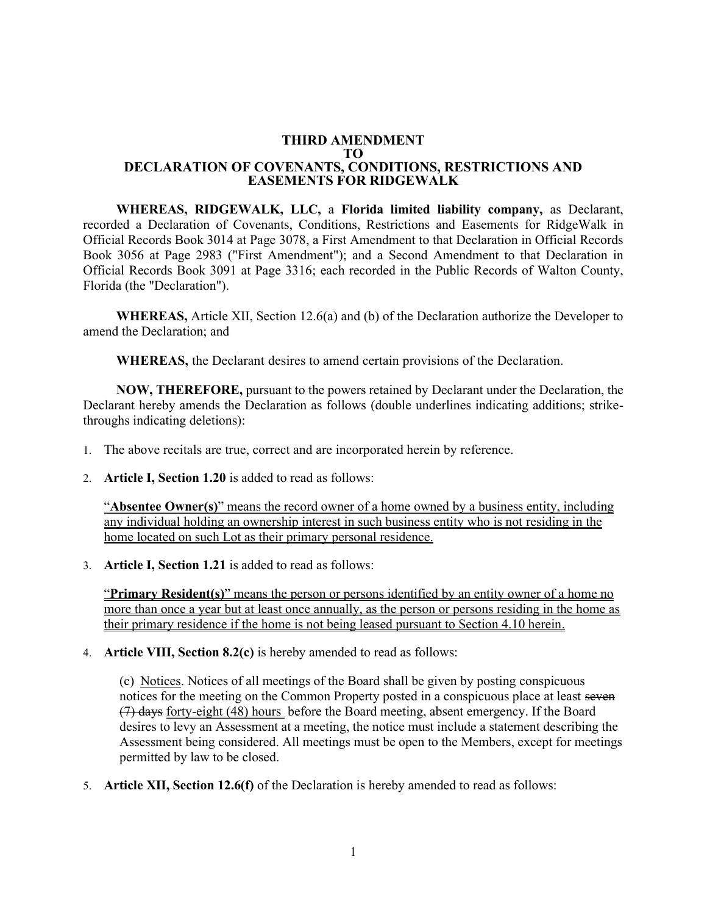## **THIRD AMENDMENT TO DECLARATION OF COVENANTS, CONDITIONS, RESTRICTIONS AND EASEMENTS FOR RIDGEWALK**

**WHEREAS, RIDGEWALK, LLC,** a **Florida limited liability company,** as Declarant, recorded a Declaration of Covenants, Conditions, Restrictions and Easements for RidgeWalk in Official Records Book 3014 at Page 3078, a First Amendment to that Declaration in Official Records Book 3056 at Page 2983 ("First Amendment"); and a Second Amendment to that Declaration in Official Records Book 3091 at Page 3316; each recorded in the Public Records of Walton County, Florida (the "Declaration").

**WHEREAS,** Article XII, Section 12.6(a) and (b) of the Declaration authorize the Developer to amend the Declaration; and

**WHEREAS,** the Declarant desires to amend certain provisions of the Declaration.

**NOW, THEREFORE,** pursuant to the powers retained by Declarant under the Declaration, the Declarant hereby amends the Declaration as follows (double underlines indicating additions; strikethroughs indicating deletions):

- 1. The above recitals are true, correct and are incorporated herein by reference.
- 2. **Article I, Section 1.20** is added to read as follows:

"**Absentee Owner(s)**" means the record owner of a home owned by a business entity, including any individual holding an ownership interest in such business entity who is not residing in the home located on such Lot as their primary personal residence.

3. **Article I, Section 1.21** is added to read as follows:

"**Primary Resident(s)**" means the person or persons identified by an entity owner of a home no more than once a year but at least once annually, as the person or persons residing in the home as their primary residence if the home is not being leased pursuant to Section 4.10 herein.

4. **Article VIII, Section 8.2(c)** is hereby amended to read as follows:

(c) Notices. Notices of all meetings of the Board shall be given by posting conspicuous notices for the meeting on the Common Property posted in a conspicuous place at least seven (7) days forty-eight (48) hours before the Board meeting, absent emergency. If the Board desires to levy an Assessment at a meeting, the notice must include a statement describing the Assessment being considered. All meetings must be open to the Members, except for meetings permitted by law to be closed.

5. **Article XII, Section 12.6(f)** of the Declaration is hereby amended to read as follows: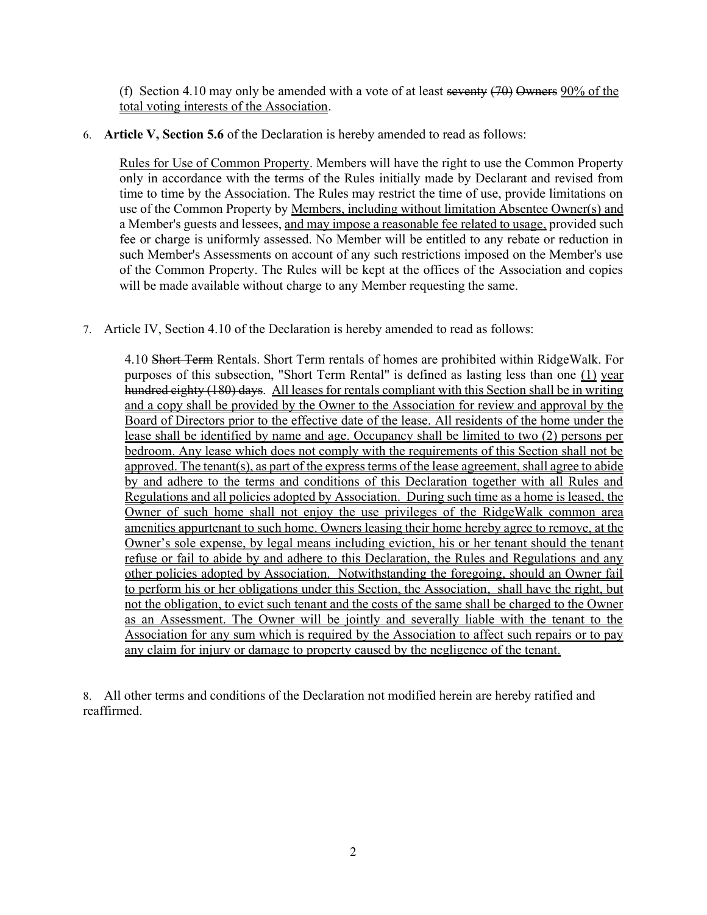(f) Section 4.10 may only be amended with a vote of at least seventy  $(70)$  Owners 90% of the total voting interests of the Association.

## 6. **Article V, Section 5.6** of the Declaration is hereby amended to read as follows:

Rules for Use of Common Property. Members will have the right to use the Common Property only in accordance with the terms of the Rules initially made by Declarant and revised from time to time by the Association. The Rules may restrict the time of use, provide limitations on use of the Common Property by Members, including without limitation Absentee Owner(s) and a Member's guests and lessees, and may impose a reasonable fee related to usage, provided such fee or charge is uniformly assessed. No Member will be entitled to any rebate or reduction in such Member's Assessments on account of any such restrictions imposed on the Member's use of the Common Property. The Rules will be kept at the offices of the Association and copies will be made available without charge to any Member requesting the same.

7. Article IV, Section 4.10 of the Declaration is hereby amended to read as follows:

4.10 Short Term Rentals. Short Term rentals of homes are prohibited within RidgeWalk. For purposes of this subsection, "Short Term Rental" is defined as lasting less than one (1) year hundred eighty (180) days. All leases for rentals compliant with this Section shall be in writing and a copy shall be provided by the Owner to the Association for review and approval by the Board of Directors prior to the effective date of the lease. All residents of the home under the lease shall be identified by name and age. Occupancy shall be limited to two (2) persons per bedroom. Any lease which does not comply with the requirements of this Section shall not be approved. The tenant(s), as part of the express terms of the lease agreement, shall agree to abide by and adhere to the terms and conditions of this Declaration together with all Rules and Regulations and all policies adopted by Association. During such time as a home is leased, the Owner of such home shall not enjoy the use privileges of the RidgeWalk common area amenities appurtenant to such home. Owners leasing their home hereby agree to remove, at the Owner's sole expense, by legal means including eviction, his or her tenant should the tenant refuse or fail to abide by and adhere to this Declaration, the Rules and Regulations and any other policies adopted by Association. Notwithstanding the foregoing, should an Owner fail to perform his or her obligations under this Section, the Association, shall have the right, but not the obligation, to evict such tenant and the costs of the same shall be charged to the Owner as an Assessment. The Owner will be jointly and severally liable with the tenant to the Association for any sum which is required by the Association to affect such repairs or to pay any claim for injury or damage to property caused by the negligence of the tenant.

8. All other terms and conditions of the Declaration not modified herein are hereby ratified and reaffirmed.